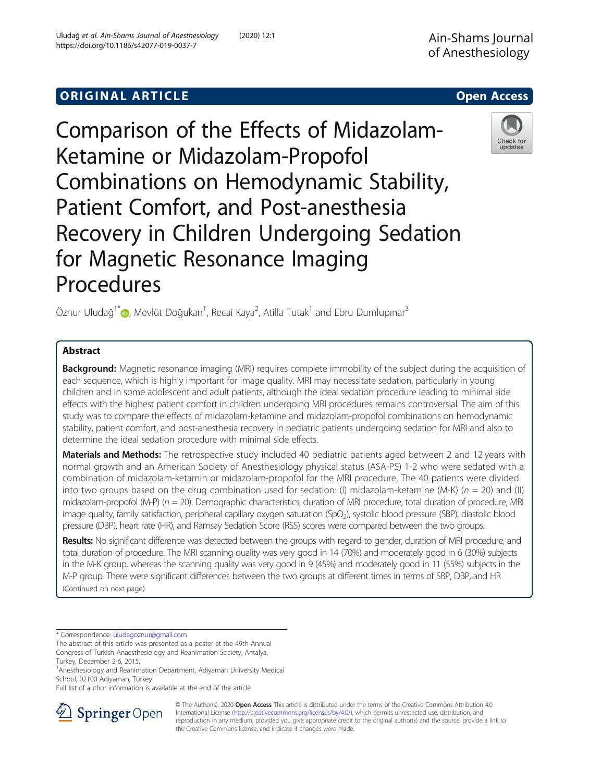# **ORIGINAL ARTICLE** And the open Access of the Open Access of the Open Access of the Open Access of the Open Access



Comparison of the Effects of Midazolam-Ketamine or Midazolam-Propofol Combinations on Hemodynamic Stability, Patient Comfort, and Post-anesthesia Recovery in Children Undergoing Sedation for Magnetic Resonance Imaging Procedures



Öznur Uludağ $^{1^{\ast}}$  (@[,](http://orcid.org/0000-0002-6017-5836) Mevlüt Doğukan $^{1}$ , Recai Kaya $^{2}$ , Atilla Tutak $^{1}$  and Ebru Dumlupınar $^{3}$ 

## Abstract

**Background:** Magnetic resonance imaging (MRI) requires complete immobility of the subject during the acquisition of each sequence, which is highly important for image quality. MRI may necessitate sedation, particularly in young children and in some adolescent and adult patients, although the ideal sedation procedure leading to minimal side effects with the highest patient comfort in children undergoing MRI procedures remains controversial. The aim of this study was to compare the effects of midazolam-ketamine and midazolam-propofol combinations on hemodynamic stability, patient comfort, and post-anesthesia recovery in pediatric patients undergoing sedation for MRI and also to determine the ideal sedation procedure with minimal side effects.

Materials and Methods: The retrospective study included 40 pediatric patients aged between 2 and 12 years with normal growth and an American Society of Anesthesiology physical status (ASA-PS) 1-2 who were sedated with a combination of midazolam-ketamin or midazolam-propofol for the MRI procedure. The 40 patients were divided into two groups based on the drug combination used for sedation: (I) midazolam-ketamine (M-K) ( $n = 20$ ) and (II) midazolam-propofol (M-P) ( $n = 20$ ). Demographic characteristics, duration of MRI procedure, total duration of procedure, MRI image quality, family satisfaction, peripheral capillary oxygen saturation (SpO<sub>2</sub>), systolic blood pressure (SBP), diastolic blood pressure (DBP), heart rate (HR), and Ramsay Sedation Score (RSS) scores were compared between the two groups.

Results: No significant difference was detected between the groups with regard to gender, duration of MRI procedure, and total duration of procedure. The MRI scanning quality was very good in 14 (70%) and moderately good in 6 (30%) subjects in the M-K group, whereas the scanning quality was very good in 9 (45%) and moderately good in 11 (55%) subjects in the M-P group. There were significant differences between the two groups at different times in terms of SBP, DBP, and HR (Continued on next page)

\* Correspondence: [uludagoznur@gmail.com](mailto:uludagoznur@gmail.com)

The abstract of this article was presented as a poster at the 49th Annual Congress of Turkish Anaesthesiology and Reanimation Society, Antalya,

Turkey, December 2-6, 2015.

<sup>1</sup> Anesthesiology and Reanimation Department, Adiyaman University Medical School, 02100 Adiyaman, Turkey

Full list of author information is available at the end of the article



© The Author(s). 2020 Open Access This article is distributed under the terms of the Creative Commons Attribution 4.0 International License ([http://creativecommons.org/licenses/by/4.0/\)](http://creativecommons.org/licenses/by/4.0/), which permits unrestricted use, distribution, and reproduction in any medium, provided you give appropriate credit to the original author(s) and the source, provide a link to the Creative Commons license, and indicate if changes were made.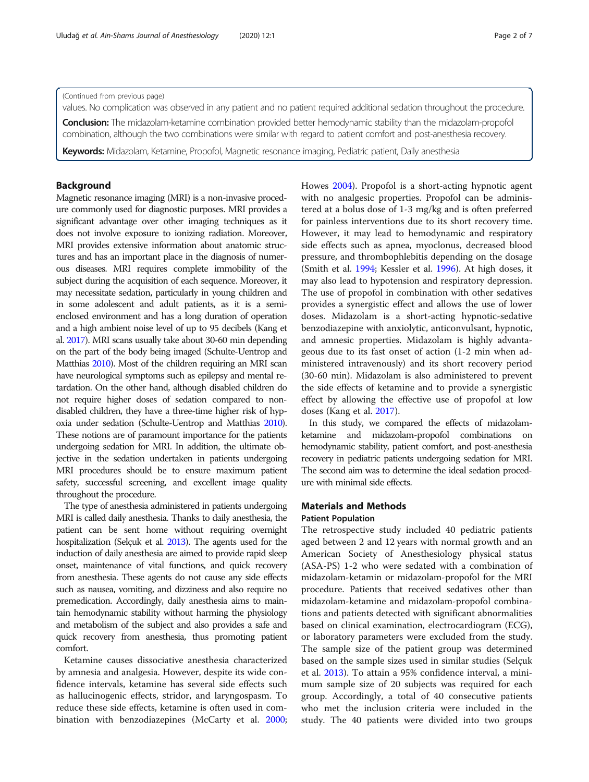values. No complication was observed in any patient and no patient required additional sedation throughout the procedure. Conclusion: The midazolam-ketamine combination provided better hemodynamic stability than the midazolam-propofol combination, although the two combinations were similar with regard to patient comfort and post-anesthesia recovery.

Keywords: Midazolam, Ketamine, Propofol, Magnetic resonance imaging, Pediatric patient, Daily anesthesia

## Background

Magnetic resonance imaging (MRI) is a non-invasive procedure commonly used for diagnostic purposes. MRI provides a significant advantage over other imaging techniques as it does not involve exposure to ionizing radiation. Moreover, MRI provides extensive information about anatomic structures and has an important place in the diagnosis of numerous diseases. MRI requires complete immobility of the subject during the acquisition of each sequence. Moreover, it may necessitate sedation, particularly in young children and in some adolescent and adult patients, as it is a semienclosed environment and has a long duration of operation and a high ambient noise level of up to 95 decibels (Kang et al. [2017](#page-5-0)). MRI scans usually take about 30-60 min depending on the part of the body being imaged (Schulte-Uentrop and Matthias [2010\)](#page-6-0). Most of the children requiring an MRI scan have neurological symptoms such as epilepsy and mental retardation. On the other hand, although disabled children do not require higher doses of sedation compared to nondisabled children, they have a three-time higher risk of hypoxia under sedation (Schulte-Uentrop and Matthias [2010\)](#page-6-0). These notions are of paramount importance for the patients undergoing sedation for MRI. In addition, the ultimate objective in the sedation undertaken in patients undergoing MRI procedures should be to ensure maximum patient safety, successful screening, and excellent image quality throughout the procedure.

The type of anesthesia administered in patients undergoing MRI is called daily anesthesia. Thanks to daily anesthesia, the patient can be sent home without requiring overnight hospitalization (Selçuk et al. [2013\)](#page-6-0). The agents used for the induction of daily anesthesia are aimed to provide rapid sleep onset, maintenance of vital functions, and quick recovery from anesthesia. These agents do not cause any side effects such as nausea, vomiting, and dizziness and also require no premedication. Accordingly, daily anesthesia aims to maintain hemodynamic stability without harming the physiology and metabolism of the subject and also provides a safe and quick recovery from anesthesia, thus promoting patient comfort.

Ketamine causes dissociative anesthesia characterized by amnesia and analgesia. However, despite its wide confidence intervals, ketamine has several side effects such as hallucinogenic effects, stridor, and laryngospasm. To reduce these side effects, ketamine is often used in combination with benzodiazepines (McCarty et al. [2000](#page-5-0); Howes [2004](#page-5-0)). Propofol is a short-acting hypnotic agent with no analgesic properties. Propofol can be administered at a bolus dose of 1-3 mg/kg and is often preferred for painless interventions due to its short recovery time. However, it may lead to hemodynamic and respiratory side effects such as apnea, myoclonus, decreased blood pressure, and thrombophlebitis depending on the dosage (Smith et al. [1994](#page-6-0); Kessler et al. [1996\)](#page-5-0). At high doses, it may also lead to hypotension and respiratory depression. The use of propofol in combination with other sedatives provides a synergistic effect and allows the use of lower doses. Midazolam is a short-acting hypnotic-sedative benzodiazepine with anxiolytic, anticonvulsant, hypnotic, and amnesic properties. Midazolam is highly advantageous due to its fast onset of action (1-2 min when administered intravenously) and its short recovery period (30-60 min). Midazolam is also administered to prevent the side effects of ketamine and to provide a synergistic effect by allowing the effective use of propofol at low doses (Kang et al. [2017](#page-5-0)).

In this study, we compared the effects of midazolamketamine and midazolam-propofol combinations on hemodynamic stability, patient comfort, and post-anesthesia recovery in pediatric patients undergoing sedation for MRI. The second aim was to determine the ideal sedation procedure with minimal side effects.

## Materials and Methods

### Patient Population

The retrospective study included 40 pediatric patients aged between 2 and 12 years with normal growth and an American Society of Anesthesiology physical status (ASA-PS) 1-2 who were sedated with a combination of midazolam-ketamin or midazolam-propofol for the MRI procedure. Patients that received sedatives other than midazolam-ketamine and midazolam-propofol combinations and patients detected with significant abnormalities based on clinical examination, electrocardiogram (ECG), or laboratory parameters were excluded from the study. The sample size of the patient group was determined based on the sample sizes used in similar studies (Selçuk et al. [2013\)](#page-6-0). To attain a 95% confidence interval, a minimum sample size of 20 subjects was required for each group. Accordingly, a total of 40 consecutive patients who met the inclusion criteria were included in the study. The 40 patients were divided into two groups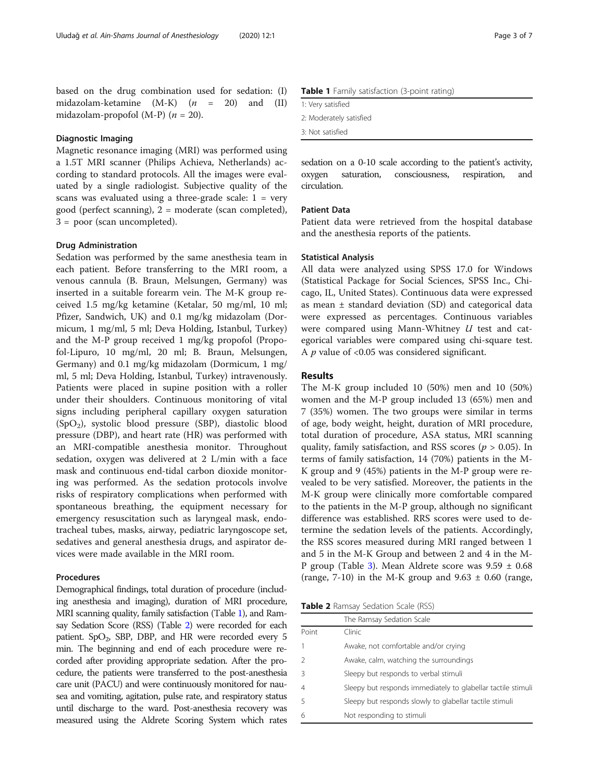based on the drug combination used for sedation: (I) midazolam-ketamine  $(M-K)$   $(n = 20)$  and  $(II)$ midazolam-propofol (M-P)  $(n = 20)$ .

### Diagnostic Imaging

Magnetic resonance imaging (MRI) was performed using a 1.5T MRI scanner (Philips Achieva, Netherlands) according to standard protocols. All the images were evaluated by a single radiologist. Subjective quality of the scans was evaluated using a three-grade scale:  $1 = \text{very}$ good (perfect scanning), 2 = moderate (scan completed), 3 = poor (scan uncompleted).

### Drug Administration

Sedation was performed by the same anesthesia team in each patient. Before transferring to the MRI room, a venous cannula (B. Braun, Melsungen, Germany) was inserted in a suitable forearm vein. The M-K group received 1.5 mg/kg ketamine (Ketalar, 50 mg/ml, 10 ml; Pfizer, Sandwich, UK) and 0.1 mg/kg midazolam (Dormicum, 1 mg/ml, 5 ml; Deva Holding, Istanbul, Turkey) and the M-P group received 1 mg/kg propofol (Propofol-Lipuro, 10 mg/ml, 20 ml; B. Braun, Melsungen, Germany) and 0.1 mg/kg midazolam (Dormicum, 1 mg/ ml, 5 ml; Deva Holding, Istanbul, Turkey) intravenously. Patients were placed in supine position with a roller under their shoulders. Continuous monitoring of vital signs including peripheral capillary oxygen saturation  $(SpO<sub>2</sub>)$ , systolic blood pressure (SBP), diastolic blood pressure (DBP), and heart rate (HR) was performed with an MRI-compatible anesthesia monitor. Throughout sedation, oxygen was delivered at 2 L/min with a face mask and continuous end-tidal carbon dioxide monitoring was performed. As the sedation protocols involve risks of respiratory complications when performed with spontaneous breathing, the equipment necessary for emergency resuscitation such as laryngeal mask, endotracheal tubes, masks, airway, pediatric laryngoscope set, sedatives and general anesthesia drugs, and aspirator devices were made available in the MRI room.

## Procedures

Demographical findings, total duration of procedure (including anesthesia and imaging), duration of MRI procedure, MRI scanning quality, family satisfaction (Table 1), and Ramsay Sedation Score (RSS) (Table 2) were recorded for each patient.  $SpO<sub>2</sub>$ , SBP, DBP, and HR were recorded every 5 min. The beginning and end of each procedure were recorded after providing appropriate sedation. After the procedure, the patients were transferred to the post-anesthesia care unit (PACU) and were continuously monitored for nausea and vomiting, agitation, pulse rate, and respiratory status until discharge to the ward. Post-anesthesia recovery was measured using the Aldrete Scoring System which rates

| <b>Table 1</b> Family satisfaction (3-point rating) |  |
|-----------------------------------------------------|--|
| 1: Very satisfied                                   |  |
| 2: Moderately satisfied                             |  |
| 3: Not satisfied                                    |  |

sedation on a 0-10 scale according to the patient's activity, oxygen saturation, consciousness, respiration, and circulation.

## Patient Data

Patient data were retrieved from the hospital database and the anesthesia reports of the patients.

### Statistical Analysis

All data were analyzed using SPSS 17.0 for Windows (Statistical Package for Social Sciences, SPSS Inc., Chicago, IL, United States). Continuous data were expressed as mean ± standard deviation (SD) and categorical data were expressed as percentages. Continuous variables were compared using Mann-Whitney U test and categorical variables were compared using chi-square test. A  $p$  value of <0.05 was considered significant.

### Results

The M-K group included 10 (50%) men and 10 (50%) women and the M-P group included 13 (65%) men and 7 (35%) women. The two groups were similar in terms of age, body weight, height, duration of MRI procedure, total duration of procedure, ASA status, MRI scanning quality, family satisfaction, and RSS scores ( $p > 0.05$ ). In terms of family satisfaction, 14 (70%) patients in the M-K group and 9 (45%) patients in the M-P group were revealed to be very satisfied. Moreover, the patients in the M-K group were clinically more comfortable compared to the patients in the M-P group, although no significant difference was established. RRS scores were used to determine the sedation levels of the patients. Accordingly, the RSS scores measured during MRI ranged between 1 and 5 in the M-K Group and between 2 and 4 in the M-P group (Table [3\)](#page-3-0). Mean Aldrete score was  $9.59 \pm 0.68$ (range, 7-10) in the M-K group and  $9.63 \pm 0.60$  (range,

**Table 2** Ramsay Sedation Scale (RSS)

|       | The Ramsay Sedation Scale                                    |  |
|-------|--------------------------------------------------------------|--|
| Point | Clinic                                                       |  |
|       | Awake, not comfortable and/or crying                         |  |
|       | Awake, calm, watching the surroundings                       |  |
| 3     | Sleepy but responds to verbal stimuli                        |  |
|       | Sleepy but responds immediately to glabellar tactile stimuli |  |
| 5     | Sleepy but responds slowly to glabellar tactile stimuli      |  |
| 6     | Not responding to stimuli                                    |  |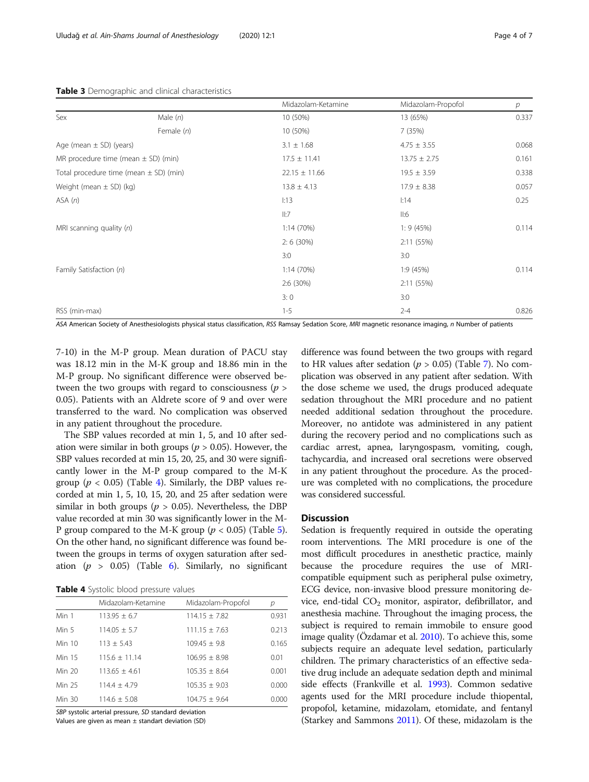|                             |                                            | Midazolam-Ketamine | Midazolam-Propofol | $\overline{p}$ |
|-----------------------------|--------------------------------------------|--------------------|--------------------|----------------|
| Sex                         | Male $(n)$                                 | 10 (50%)           | 13 (65%)           | 0.337          |
|                             | Female $(n)$                               | 10 (50%)           | 7 (35%)            |                |
| Age (mean $\pm$ SD) (years) |                                            | $3.1 \pm 1.68$     | $4.75 \pm 3.55$    | 0.068          |
|                             | MR procedure time (mean $\pm$ SD) (min)    | $17.5 \pm 11.41$   | $13.75 \pm 2.75$   | 0.161          |
|                             | Total procedure time (mean $\pm$ SD) (min) | $22.15 \pm 11.66$  | $19.5 \pm 3.59$    | 0.338          |
| Weight (mean $\pm$ SD) (kg) |                                            | $13.8 \pm 4.13$    | $17.9 \pm 8.38$    | 0.057          |
| ASA(n)                      |                                            | 1:13               | 1:14               | 0.25           |
|                             |                                            | II:7               | II:6               |                |
| MRI scanning quality $(n)$  |                                            | 1:14 (70%)         | 1:9(45%)           | 0.114          |
|                             |                                            | 2:6(30%)           | 2:11(55%)          |                |
|                             |                                            | 3:0                | 3:0                |                |
| Family Satisfaction (n)     |                                            | 1:14 (70%)         | 1:9(45%)           | 0.114          |
|                             |                                            | $2:6(30\%)$        | 2:11(55%)          |                |
|                             |                                            | 3:0                | 3:0                |                |
| RSS (min-max)               |                                            | $1 - 5$            | $2 - 4$            | 0.826          |

#### <span id="page-3-0"></span>Table 3 Demographic and clinical characteristics

ASA American Society of Anesthesiologists physical status classification, RSS Ramsay Sedation Score, MRI magnetic resonance imaging, n Number of patients

7-10) in the M-P group. Mean duration of PACU stay was 18.12 min in the M-K group and 18.86 min in the M-P group. No significant difference were observed between the two groups with regard to consciousness ( $p >$ 0.05). Patients with an Aldrete score of 9 and over were transferred to the ward. No complication was observed in any patient throughout the procedure.

The SBP values recorded at min 1, 5, and 10 after sedation were similar in both groups ( $p > 0.05$ ). However, the SBP values recorded at min 15, 20, 25, and 30 were significantly lower in the M-P group compared to the M-K group ( $p < 0.05$ ) (Table 4). Similarly, the DBP values recorded at min 1, 5, 10, 15, 20, and 25 after sedation were similar in both groups ( $p > 0.05$ ). Nevertheless, the DBP value recorded at min 30 was significantly lower in the M-P group compared to the M-K group ( $p < 0.05$  $p < 0.05$ ) (Table 5). On the other hand, no significant difference was found between the groups in terms of oxygen saturation after sedation ( $p > 0.05$ ) (Table [6\)](#page-4-0). Similarly, no significant

|  |  |  | Table 4 Systolic blood pressure values |  |
|--|--|--|----------------------------------------|--|
|--|--|--|----------------------------------------|--|

|        | Midazolam-Ketamine | Midazolam-Propofol | р     |
|--------|--------------------|--------------------|-------|
| Min 1  | $113.95 \pm 6.7$   | $114.15 \pm 7.82$  | 0.931 |
| Min 5  | $114.05 \pm 5.7$   | $111.15 \pm 7.63$  | 0.213 |
| Min 10 | $113 \pm 5.43$     | $109.45 + 9.8$     | 0.165 |
| Min 15 | $115.6 + 11.14$    | $106.95 + 8.98$    | 0.01  |
| Min 20 | $113.65 + 4.61$    | $105.35 + 8.64$    | 0.001 |
| Min 25 | $114.4 + 4.79$     | $105.35 + 9.03$    | 0.000 |
| Min 30 | $114.6 + 5.08$     | $104.75 + 9.64$    | 0.000 |

SBP systolic arterial pressure, SD standard deviation

Values are given as mean  $\pm$  standart deviation (SD)

difference was found between the two groups with regard to HR values after sedation ( $p > 0.05$ ) (Table [7\)](#page-4-0). No complication was observed in any patient after sedation. With the dose scheme we used, the drugs produced adequate sedation throughout the MRI procedure and no patient needed additional sedation throughout the procedure. Moreover, no antidote was administered in any patient during the recovery period and no complications such as cardiac arrest, apnea, laryngospasm, vomiting, cough, tachycardia, and increased oral secretions were observed in any patient throughout the procedure. As the procedure was completed with no complications, the procedure was considered successful.

## **Discussion**

Sedation is frequently required in outside the operating room interventions. The MRI procedure is one of the most difficult procedures in anesthetic practice, mainly because the procedure requires the use of MRIcompatible equipment such as peripheral pulse oximetry, ECG device, non-invasive blood pressure monitoring device, end-tidal  $CO<sub>2</sub>$  monitor, aspirator, defibrillator, and anesthesia machine. Throughout the imaging process, the subject is required to remain immobile to ensure good image quality (Özdamar et al. [2010](#page-6-0)). To achieve this, some subjects require an adequate level sedation, particularly children. The primary characteristics of an effective sedative drug include an adequate sedation depth and minimal side effects (Frankville et al. [1993](#page-5-0)). Common sedative agents used for the MRI procedure include thiopental, propofol, ketamine, midazolam, etomidate, and fentanyl (Starkey and Sammons [2011\)](#page-6-0). Of these, midazolam is the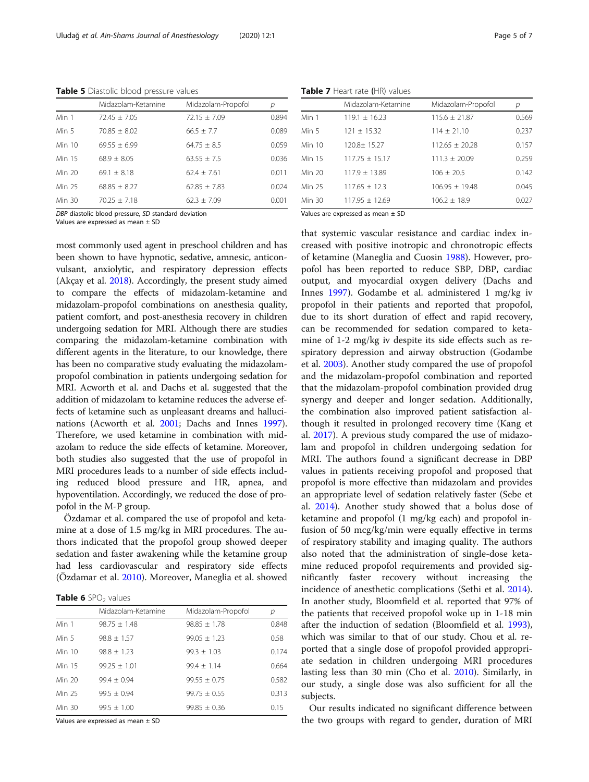<span id="page-4-0"></span>Table 5 Diastolic blood pressure values

|        | Midazolam-Ketamine | Midazolam-Propofol | р     |
|--------|--------------------|--------------------|-------|
| Min 1  | $72.45 + 7.05$     | $72.15 + 7.09$     | 0.894 |
| Min 5  | $70.85 + 8.02$     | $66.5 + 7.7$       | 0.089 |
| Min 10 | $69.55 + 6.99$     | $64.75 + 8.5$      | 0.059 |
| Min 15 | $68.9 + 8.05$      | $63.55 \pm 7.5$    | 0.036 |
| Min 20 | $69.1 + 8.18$      | $62.4 + 7.61$      | 0.011 |
| Min 25 | $68.85 + 8.27$     | $62.85 + 7.83$     | 0.024 |
| Min 30 | $70.25 + 7.18$     | $62.3 + 7.09$      | 0.001 |

DBP diastolic blood pressure, SD standard deviation

Values are expressed as mean ± SD

most commonly used agent in preschool children and has been shown to have hypnotic, sedative, amnesic, anticonvulsant, anxiolytic, and respiratory depression effects (Akçay et al. [2018](#page-5-0)). Accordingly, the present study aimed to compare the effects of midazolam-ketamine and midazolam-propofol combinations on anesthesia quality, patient comfort, and post-anesthesia recovery in children undergoing sedation for MRI. Although there are studies comparing the midazolam-ketamine combination with different agents in the literature, to our knowledge, there has been no comparative study evaluating the midazolampropofol combination in patients undergoing sedation for MRI. Acworth et al. and Dachs et al. suggested that the addition of midazolam to ketamine reduces the adverse effects of ketamine such as unpleasant dreams and hallucinations (Acworth et al. [2001](#page-5-0); Dachs and Innes [1997](#page-5-0)). Therefore, we used ketamine in combination with midazolam to reduce the side effects of ketamine. Moreover, both studies also suggested that the use of propofol in MRI procedures leads to a number of side effects including reduced blood pressure and HR, apnea, and hypoventilation. Accordingly, we reduced the dose of propofol in the M-P group.

Özdamar et al. compared the use of propofol and ketamine at a dose of 1.5 mg/kg in MRI procedures. The authors indicated that the propofol group showed deeper sedation and faster awakening while the ketamine group had less cardiovascular and respiratory side effects (Özdamar et al. [2010](#page-6-0)). Moreover, Maneglia et al. showed

Table 6 SPO<sub>2</sub> values

|        | Midazolam-Ketamine | Midazolam-Propofol | р     |
|--------|--------------------|--------------------|-------|
| Min 1  | $98.75 + 1.48$     | $98.85 + 1.78$     | 0.848 |
| Min 5  | $98.8 + 1.57$      | $99.05 + 1.23$     | 0.58  |
| Min 10 | $98.8 + 1.23$      | $99.3 + 1.03$      | 0.174 |
| Min 15 | $99.25 + 1.01$     | $99.4 + 1.14$      | 0.664 |
| Min 20 | $99.4 + 0.94$      | $99.55 + 0.75$     | 0.582 |
| Min 25 | $99.5 + 0.94$      | $99.75 + 0.55$     | 0.313 |
| Min 30 | $99.5 + 1.00$      | $99.85 + 0.36$     | 0.15  |
|        |                    |                    |       |

Values are expressed as mean ± SD

Table 7 Heart rate (HR) values

|          | Midazolam-Ketamine | Midazolam-Propofol | р     |
|----------|--------------------|--------------------|-------|
| Min 1    | $119.1 + 16.23$    | $115.6 + 21.87$    | 0.569 |
| Min 5    | $121 + 15.32$      | $114 + 21.10$      | 0.237 |
| Min $10$ | $120.8 + 15.27$    | $112.65 + 20.28$   | 0.157 |
| Min 15   | $117.75 + 15.17$   | $111.3 + 20.09$    | 0.259 |
| Min 20   | $117.9 \pm 13.89$  | $106 + 20.5$       | 0.142 |
| Min 25   | $117.65 \pm 12.3$  | $106.95 + 19.48$   | 0.045 |
| Min 30   | $117.95 \pm 12.69$ | $106.2 + 18.9$     | 0.027 |

Values are expressed as mean ± SD

that systemic vascular resistance and cardiac index increased with positive inotropic and chronotropic effects of ketamine (Maneglia and Cuosin [1988\)](#page-5-0). However, propofol has been reported to reduce SBP, DBP, cardiac output, and myocardial oxygen delivery (Dachs and Innes [1997\)](#page-5-0). Godambe et al. administered 1 mg/kg iv propofol in their patients and reported that propofol, due to its short duration of effect and rapid recovery, can be recommended for sedation compared to ketamine of 1-2 mg/kg iv despite its side effects such as respiratory depression and airway obstruction (Godambe et al. [2003\)](#page-5-0). Another study compared the use of propofol and the midazolam-propofol combination and reported that the midazolam-propofol combination provided drug synergy and deeper and longer sedation. Additionally, the combination also improved patient satisfaction although it resulted in prolonged recovery time (Kang et al. [2017\)](#page-5-0). A previous study compared the use of midazolam and propofol in children undergoing sedation for MRI. The authors found a significant decrease in DBP values in patients receiving propofol and proposed that propofol is more effective than midazolam and provides an appropriate level of sedation relatively faster (Sebe et al. [2014](#page-6-0)). Another study showed that a bolus dose of ketamine and propofol (1 mg/kg each) and propofol infusion of 50 mcg/kg/min were equally effective in terms of respiratory stability and imaging quality. The authors also noted that the administration of single-dose ketamine reduced propofol requirements and provided significantly faster recovery without increasing the incidence of anesthetic complications (Sethi et al. [2014](#page-6-0)). In another study, Bloomfield et al. reported that 97% of the patients that received propofol woke up in 1-18 min after the induction of sedation (Bloomfield et al. [1993](#page-5-0)), which was similar to that of our study. Chou et al. reported that a single dose of propofol provided appropriate sedation in children undergoing MRI procedures lasting less than 30 min (Cho et al. [2010](#page-5-0)). Similarly, in our study, a single dose was also sufficient for all the subjects.

Our results indicated no significant difference between the two groups with regard to gender, duration of MRI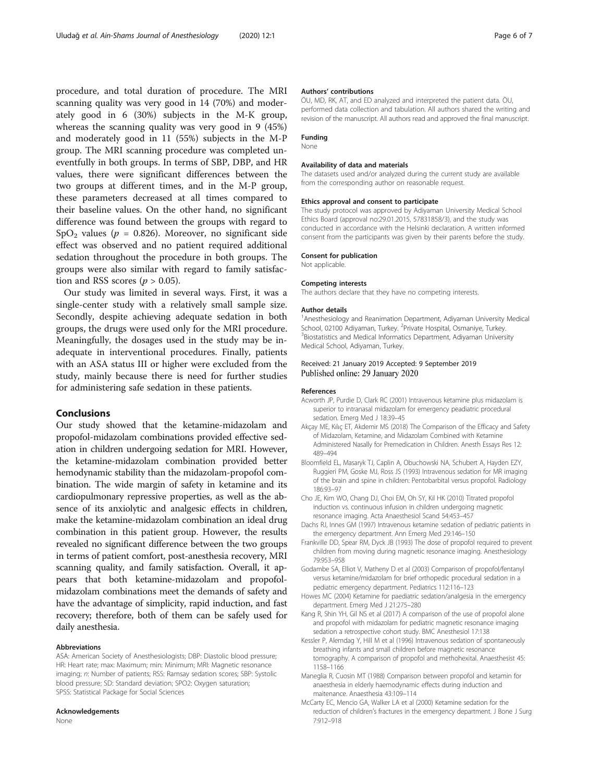<span id="page-5-0"></span>procedure, and total duration of procedure. The MRI scanning quality was very good in 14 (70%) and moderately good in 6 (30%) subjects in the M-K group, whereas the scanning quality was very good in 9 (45%) and moderately good in 11 (55%) subjects in the M-P group. The MRI scanning procedure was completed uneventfully in both groups. In terms of SBP, DBP, and HR values, there were significant differences between the two groups at different times, and in the M-P group, these parameters decreased at all times compared to their baseline values. On the other hand, no significant difference was found between the groups with regard to SpO<sub>2</sub> values ( $p = 0.826$ ). Moreover, no significant side effect was observed and no patient required additional sedation throughout the procedure in both groups. The groups were also similar with regard to family satisfaction and RSS scores ( $p > 0.05$ ).

Our study was limited in several ways. First, it was a single-center study with a relatively small sample size. Secondly, despite achieving adequate sedation in both groups, the drugs were used only for the MRI procedure. Meaningfully, the dosages used in the study may be inadequate in interventional procedures. Finally, patients with an ASA status III or higher were excluded from the study, mainly because there is need for further studies for administering safe sedation in these patients.

## Conclusions

Our study showed that the ketamine-midazolam and propofol-midazolam combinations provided effective sedation in children undergoing sedation for MRI. However, the ketamine-midazolam combination provided better hemodynamic stability than the midazolam-propofol combination. The wide margin of safety in ketamine and its cardiopulmonary repressive properties, as well as the absence of its anxiolytic and analgesic effects in children, make the ketamine-midazolam combination an ideal drug combination in this patient group. However, the results revealed no significant difference between the two groups in terms of patient comfort, post-anesthesia recovery, MRI scanning quality, and family satisfaction. Overall, it appears that both ketamine-midazolam and propofolmidazolam combinations meet the demands of safety and have the advantage of simplicity, rapid induction, and fast recovery; therefore, both of them can be safely used for daily anesthesia.

#### Abbreviations

ASA: American Society of Anesthesiologists; DBP: Diastolic blood pressure; HR: Heart rate; max: Maximum; min: Minimum; MRI: Magnetic resonance imaging; n: Number of patients; RSS: Ramsay sedation scores; SBP: Systolic blood pressure; SD: Standard deviation; SPO2: Oxygen saturation; SPSS: Statistical Package for Social Sciences

#### Acknowledgements

None

#### Authors' contributions

ÖU, MD, RK, AT, and ED analyzed and interpreted the patient data. ÖU, performed data collection and tabulation. All authors shared the writing and revision of the manuscript. All authors read and approved the final manuscript.

## Funding

None

## Availability of data and materials

The datasets used and/or analyzed during the current study are available from the corresponding author on reasonable request.

#### Ethics approval and consent to participate

The study protocol was approved by Adiyaman University Medical School Ethics Board (approval no:29.01.2015, 57831858/3), and the study was conducted in accordance with the Helsinki declaration. A written informed consent from the participants was given by their parents before the study.

## Consent for publication

Not applicable.

#### Competing interests

The authors declare that they have no competing interests.

#### Author details

1 Anesthesiology and Reanimation Department, Adiyaman University Medical School, 02100 Adiyaman, Turkey. <sup>2</sup>Private Hospital, Osmaniye, Turkey.<br><sup>3</sup>Biostatistics and Medical Informatics Department, Adiyaman Univers <sup>3</sup> Biostatistics and Medical Informatics Department, Adiyaman University Medical School, Adiyaman, Turkey.

### Received: 21 January 2019 Accepted: 9 September 2019 Published online: 29 January 2020

#### References

- Acworth JP, Purdie D, Clark RC (2001) Intravenous ketamine plus midazolam is superior to intranasal midazolam for emergency peadiatric procedural sedation. Emerg Med J 18:39–45
- Akçay ME, Kılıç ET, Akdemir MS (2018) The Comparison of the Efficacy and Safety of Midazolam, Ketamine, and Midazolam Combined with Ketamine Administered Nasally for Premedication in Children. Anesth Essays Res 12: 489–494
- Bloomfield EL, Masaryk TJ, Caplin A, Obuchowski NA, Schubert A, Hayden EZY, Ruggieri PM, Goske MJ, Ross JS (1993) Intravenous sedation for MR imaging of the brain and spine in children: Pentobarbital versus propofol. Radiology 186:93–97
- Cho JE, Kim WO, Chang DJ, Choi EM, Oh SY, Kil HK (2010) Titrated propofol induction vs. continuous infusion in children undergoing magnetic resonance imaging. Acta Anaesthesiol Scand 54:453–457
- Dachs RJ, Innes GM (1997) Intravenous ketamine sedation of pediatric patients in the emergency department. Ann Emerg Med 29:146–150
- Frankville DD, Spear RM, Dyck JB (1993) The dose of propofol required to prevent children from moving during magnetic resonance imaging. Anesthesiology 79:953–958
- Godambe SA, Elliot V, Matheny D et al (2003) Comparison of propofol/fentanyl versus ketamine/midazolam for brief orthopedic procedural sedation in a pediatric emergency department. Pediatrics 112:116–123
- Howes MC (2004) Ketamine for paediatric sedation/analgesia in the emergency department. Emerg Med J 21:275–280
- Kang R, Shin YH, Gil NS et al (2017) A comparison of the use of propofol alone and propofol with midazolam for pediatric magnetic resonance imaging sedation a retrospective cohort study. BMC Anesthesiol 17:138
- Kessler P, Alemdag Y, Hill M et al (1996) Intravenous sedation of spontaneously breathing infants and small children before magnetic resonance tomography. A comparison of propofol and methohexital. Anaesthesist 45: 1158–1166
- Maneglia R, Cuosin MT (1988) Comparison between propofol and ketamin for anaesthesia in elderly haemodynamic effects during induction and maitenance. Anaesthesia 43:109–114
- McCarty EC, Mencio GA, Walker LA et al (2000) Ketamine sedation for the reduction of children's fractures in the emergency department. J Bone J Surg 7:912–918